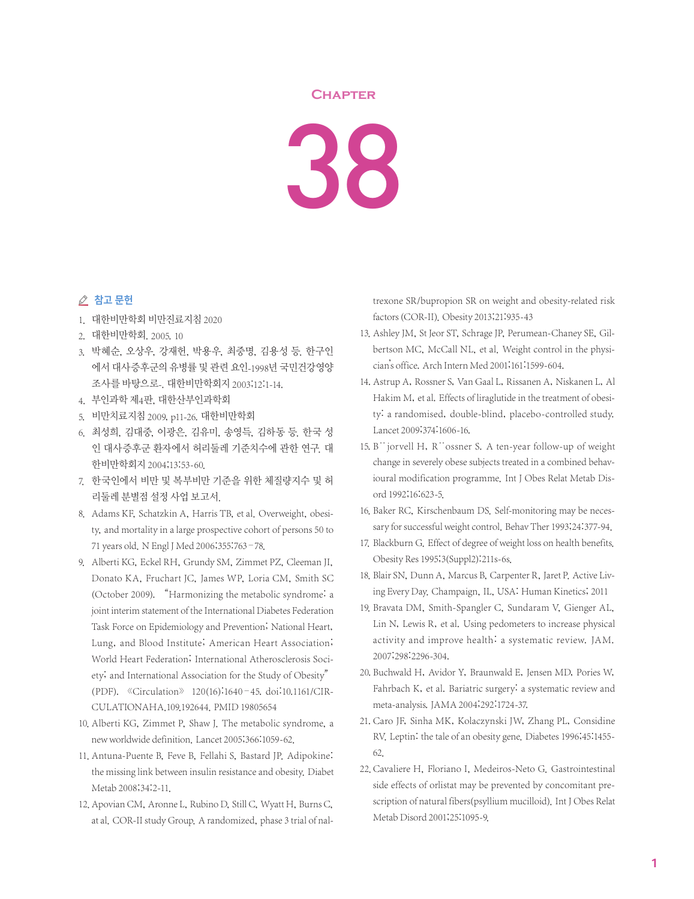## **Chapter**

38

## ⊘ 참고 문헌

- 1. 대한비만학회 비만진료지침 2020
- 2. 대한비만학회. 2005. 10
- 3. 박혜순, 오상우, 강재헌, 박용우, 최중명, 김용성 등. 한구인 에서 대사증후군의 유병률 및 관련 요인-1998년 국민건강영양 조사를 바탕으로-. 대한비만학회지 2003;12:1-14.
- 4. 부인과학 제4판, 대한산부인과학회
- 5. 비만치료지침 2009, p11-26. 대한비만학회
- 6. 최성희, 김대중, 이광은, 김유미, 송영득, 김하동 등. 한국 성 인 대사증후군 환자에서 허리둘레 기준치수에 관한 연구. 대 한비만학회지 2004;13:53-60.
- 7. 한국인에서 비만 및 복부비만 기준을 위한 체질량지수 및 허 리둘레 분별점 설정 사업 보고서.
- 8. Adams KF, Schatzkin A, Harris TB, et al. Overweight, obesity, and mortality in a large prospective cohort of persons 50 to 71 years old. N Engl J Med 2006;355:763–78.
- 9. Alberti KG, Eckel RH, Grundy SM, Zimmet PZ, Cleeman JI, Donato KA, Fruchart JC, James WP, Loria CM, Smith SC (October 2009). "Harmonizing the metabolic syndrome: a joint interim statement of the International Diabetes Federation Task Force on Epidemiology and Prevention; National Heart, Lung, and Blood Institute; American Heart Association; World Heart Federation; International Atherosclerosis Society; and International Association for the Study of Obesity" (PDF). 《Circulation》 120(16):1640–45. doi:10.1161/CIR-CULATIONAHA.109.192644. PMID 19805654
- 10. Alberti KG, Zimmet P, Shaw J. The metabolic syndrome, a new worldwide definition. Lancet 2005;366:1059-62.
- 11. Antuna-Puente B, Feve B, Fellahi S, Bastard JP, Adipokine: the missing link between insulin resistance and obesity. Diabet Metab 2008;34:2-11.
- 12. Apovian CM, Aronne L, Rubino D, Still C, Wyatt H, Burns C, at al. COR-II study Group. A randomized, phase 3 trial of nal-

trexone SR/bupropion SR on weight and obesity-related risk factors(COR-II). Obesity 2013;21:935-43

- 13. Ashley JM, St Jeor ST, Schrage JP, Perumean-Chaney SE, Gilbertson MC, McCall NL, et al. Weight control in the physician's office. Arch Intern Med 2001;161:1599-604.
- 14. Astrup A, Rossner S, Van Gaal L, Rissanen A, Niskanen L, Al Hakim M, et al. Effects of liraglutide in the treatment of obesity: a randomised, double-blind, placebo-controlled study. Lancet 2009;374:1606-16.
- 15. B¨jorvell H, R¨ossner S. A ten-year follow-up of weight change in severely obese subjects treated in a combined behavioural modification programme. Int J Obes Relat Metab Disord 1992;16:623-5.
- 16. Baker RC, Kirschenbaum DS. Self-monitoring may be necessary for successful weight control. Behav Ther 1993;24:377-94.
- 17. Blackburn G. Effect of degree of weight loss on health benefits. Obesity Res 1995;3(Suppl2):211s-6s.
- 18. Blair SN, Dunn A, Marcus B, Carpenter R, Jaret P. Active Living Every Day. Champaign, IL, USA: Human Kinetics; 2011
- 19. Bravata DM, Smith-Spangler C, Sundaram V, Gienger AL, Lin N, Lewis R, et al. Using pedometers to increase physical activity and improve health: a systematic review. JAM. 2007;298:2296-304.
- 20. Buchwald H, Avidor Y, Braunwald E, Jensen MD, Pories W, Fahrbach K, et al. Bariatric surgery: a systematic review and meta-analysis.JAMA 2004;292:1724-37.
- 21. Caro JF, Sinha MK, Kolaczynski JW, Zhang PL, Considine RV. Leptin: the tale of an obesity gene. Diabetes 1996;45:1455- 62.
- 22. Cavaliere H, Floriano I, Medeiros-Neto G. Gastrointestinal side effects of orlistat may be prevented by concomitant prescription of natural fibers(psyllium mucilloid). Int J Obes Relat Metab Disord 2001;25:1095-9.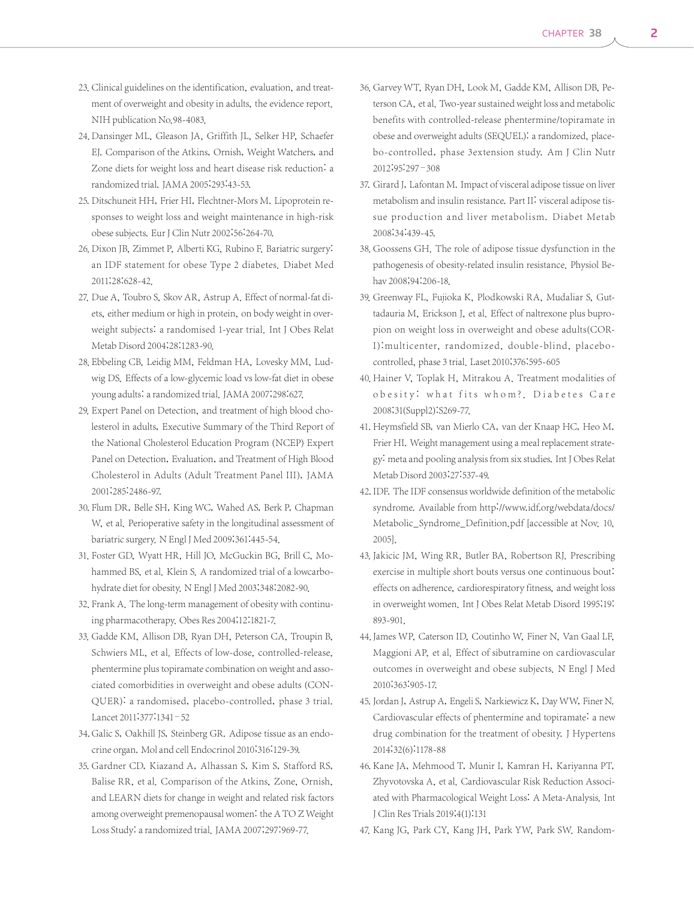- 23. Clinical guidelines on the identification, evaluation, and treatment of overweight and obesity in adults, the evidence report. NIH publication No.98-4083.
- 24. Dansinger ML, Gleason JA, Griffith JL, Selker HP, Schaefer EJ. Comparison of the Atkins, Ornish, Weight Watchers, and Zone diets for weight loss and heart disease risk reduction: a randomized trial. JAMA 2005;293:43-53.
- 25. Ditschuneit HH, Frier HI, Flechtner-Mors M. Lipoprotein responses to weight loss and weight maintenance in high-risk obese subjects. Eur J Clin Nutr 2002;56:264-70.
- 26. Dixon JB, Zimmet P, Alberti KG, Rubino F. Bariatric surgery: an IDF statement for obese Type 2 diabetes. Diabet Med 2011;28:628-42.
- 27. Due A, Toubro S, Skov AR, Astrup A. Effect of normal-fat diets, either medium or high in protein, on body weight in overweight subjects: a randomised 1-year trial. Int J Obes Relat Metab Disord 2004;28:1283-90.
- 28. Ebbeling CB, Leidig MM, Feldman HA, Lovesky MM, Ludwig DS. Effects of a low-glycemic load vs low-fat diet in obese young adults: a randomized trial. JAMA 2007;298:627.
- 29. Expert Panel on Detection, and treatment of high blood cholesterol in adults, Executive Summary of the Third Report of the National Cholesterol Education Program (NCEP) Expert Panel on Detection, Evaluation, and Treatment of High Blood Cholesterol in Adults (Adult Treatment Panel III), JAMA 2001;285:2486-97.
- 30. Flum DR, Belle SH, King WC, Wahed AS, Berk P, Chapman W, et al. Perioperative safety in the longitudinal assessment of bariatric surgery. N Engl J Med 2009;361:445-54.
- 31. Foster GD, Wyatt HR, Hill JO, McGuckin BG, Brill C, Mohammed BS, et al. Klein S. A randomized trial of a lowcarbohydrate diet for obesity. N Engl J Med 2003;348:2082-90.
- 32. Frank A. The long-term management of obesity with continuing pharmacotherapy. Obes Res 2004;12:1821-7.
- 33. Gadde KM, Allison DB, Ryan DH, Peterson CA, Troupin B, Schwiers ML, et al. Effects of low-dose, controlled-release, phentermine plus topiramate combination on weight and associated comorbidities in overweight and obese adults (CON-QUER): a randomised, placebo-controlled, phase 3 trial. Lancet 2011;377:1341–52
- 34. Galic S, Oakhill JS, Steinberg GR. Adipose tissue as an endocrine organ. Mol and cell Endocrinol 2010;316:129-39.
- 35. Gardner CD, Kiazand A, Alhassan S, Kim S, Stafford RS, Balise RR, et al. Comparison of the Atkins, Zone, Ornish, and LEARN diets for change in weight and related risk factors among overweight premenopausal women: the A TO Z Weight Loss Study: a randomized trial. JAMA 2007;297:969-77.
- 36. Garvey WT, Ryan DH, Look M, Gadde KM, Allison DB, Peterson CA, et al. Two-year sustained weight loss and metabolic benefits with controlled-release phentermine/topiramate in obese and overweight adults (SEQUEL): a randomized, placebo-controlled, phase 3extension study. Am J Clin Nutr 2012;95:297–308
- 37. Girard J, Lafontan M. Impact of visceral adipose tissue on liver metabolism and insulin resistance. Part II: visceral adipose tissue production and liver metabolism. Diabet Metab 2008;34:439-45.
- 38. Goossens GH. The role of adipose tissue dysfunction in the pathogenesis of obesity-related insulin resistance. Physiol Behav 2008;94:206-18.
- 39. Greenway FL, Fujioka K, Plodkowski RA, Mudaliar S, Guttadauria M, Erickson J, et al. Effect of naltrexone plus bupropion on weight loss in overweight and obese adults(COR-I):multicenter, randomized, double-blind, placebocontrolled, phase 3 trial. Laset 2010;376:595-605
- 40. Hainer V, Toplak H, Mitrakou A. Treatment modalities of obesity: what fits whom?. Diabetes Care 2008;31(Suppl2):S269-77.
- 41. Heymsfield SB, van Mierlo CA, van der Knaap HC, Heo M, Frier HI. Weight management using a meal replacement strategy: meta and pooling analysis from six studies. Int J Obes Relat Metab Disord 2003;27:537-49.
- 42. IDF. The IDF consensus worldwide definition of the metabolic syndrome. Available from http://www.idf.org/webdata/docs/ Metabolic\_Syndrome\_Definition.pdf [accessible at Nov. 10, 2005].
- 43. Jakicic JM, Wing RR, Butler BA, Robertson RJ. Prescribing exercise in multiple short bouts versus one continuous bout: effects on adherence, cardiorespiratory fitness, and weight loss in overweight women. Int J Obes Relat Metab Disord 1995;19: 893-901.
- 44. James WP, Caterson ID, Coutinho W, Finer N, Van Gaal LF, Maggioni AP, et al. Effect of sibutramine on cardiovascular outcomes in overweight and obese subjects. N Engl J Med 2010;363:905-17.
- 45. Jordan J, Astrup A, Engeli S, Narkiewicz K, Day WW, Finer N. Cardiovascular effects of phentermine and topiramate: a new drug combination for the treatment of obesity. J Hypertens 2014;32(6):1178-88
- 46. Kane JA, Mehmood T, Munir I, Kamran H, Kariyanna PT, Zhyvotovska A, et al. Cardiovascular Risk Reduction Associated with Pharmacological Weight Loss: A Meta-Analysis. Int J Clin Res Trials 2019;4(1):131
- 47. Kang JG, Park CY, Kang JH, Park YW, Park SW. Random-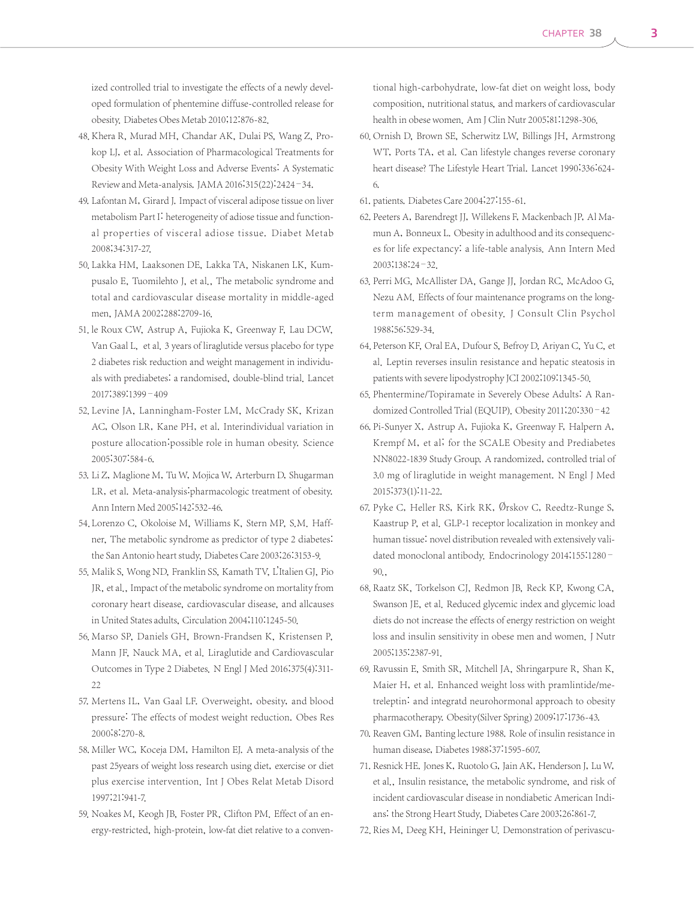ized controlled trial to investigate the effects of a newly developed formulation of phentemine diffuse-controlled release for obesity. Diabetes Obes Metab 2010;12:876-82.

- 48. Khera R, Murad MH, Chandar AK, Dulai PS, Wang Z, Prokop LJ, et al. Association of Pharmacological Treatments for Obesity With Weight Loss and Adverse Events: A Systematic Review and Meta-analysis. JAMA 2016;315(22):2424-34.
- 49. Lafontan M, Girard J. Impact of visceral adipose tissue on liver metabolism Part I: heterogeneity of adiose tissue and functional properties of visceral adiose tissue. Diabet Metab 2008;34:317-27.
- 50. Lakka HM, Laaksonen DE, Lakka TA, Niskanen LK, Kumpusalo E, Tuomilehto J, et al., The metabolic syndrome and total and cardiovascular disease mortality in middle-aged men, JAMA 2002;288:2709-16.
- 51. le Roux CW, Astrup A, Fujioka K, Greenway F, Lau DCW, Van Gaal L, et al. 3 years of liraglutide versus placebo for type 2 diabetes risk reduction and weight management in individuals with prediabetes: a randomised, double-blind trial. Lancet 2017;389:1399–409
- 52. Levine JA, Lanningham-Foster LM, McCrady SK, Krizan AC, Olson LR, Kane PH, et al. Interindividual variation in posture allocation:possible role in human obesity. Science 2005;307:584-6.
- 53. Li Z, Maglione M, Tu W, Mojica W, Arterburn D, Shugarman LR, et al. Meta-analysis: pharmacologic treatment of obesity. Ann Intern Med 2005;142:532-46.
- 54. Lorenzo C, Okoloise M, Williams K, Stern MP, S.M. Haffner, The metabolic syndrome as predictor of type 2 diabetes: the San Antonio heart study, Diabetes Care 2003;26:3153-9.
- 55. Malik S, Wong ND, Franklin SS, Kamath TV, L'Italien GJ, Pio JR, et al., Impact of the metabolic syndrome on mortality from coronary heart disease, cardiovascular disease, and allcauses in United States adults, Circulation 2004;110:1245-50.
- 56. Marso SP, Daniels GH, Brown-Frandsen K, Kristensen P, Mann JF, Nauck MA, et al. Liraglutide and Cardiovascular Outcomes in Type 2 Diabetes. N Engl J Med 2016;375(4):311- 22
- 57. Mertens IL, Van Gaal LF. Overweight, obesity, and blood pressure: The effects of modest weight reduction. Obes Res 2000;8:270-8.
- 58. Miller WC, Koceja DM, Hamilton EJ. A meta-analysis of the past 25years of weight loss research using diet, exercise or diet plus exercise intervention. Int J Obes Relat Metab Disord 1997;21:941-7.
- 59. Noakes M, Keogh JB, Foster PR, Clifton PM. Effect of an energy-restricted, high-protein, low-fat diet relative to a conven-

tional high-carbohydrate, low-fat diet on weight loss, body composition, nutritional status, and markers of cardiovascular health in obese women. Am J Clin Nutr 2005;81:1298-306.

- 60. Ornish D, Brown SE, Scherwitz LW, Billings JH, Armstrong WT, Ports TA, et al. Can lifestyle changes reverse coronary heart disease? The Lifestyle Heart Trial. Lancet 1990;336:624- 6.
- 61. patients. Diabetes Care 2004;27:155-61.
- 62. Peeters A, Barendregt JJ, Willekens F, Mackenbach JP, Al Mamun A, Bonneux L. Obesity in adulthood and its consequences for life expectancy: a life-table analysis. Ann Intern Med 2003;138:24–32.
- 63. Perri MG, McAllister DA, Gange JJ, Jordan RC, McAdoo G, Nezu AM. Effects of four maintenance programs on the longterm management of obesity. J Consult Clin Psychol 1988;56:529-34.
- 64. Peterson KF, Oral EA, Dufour S, Befroy D, Ariyan C, Yu C, et al. Leptin reverses insulin resistance and hepatic steatosis in patients with severe lipodystrophy JCI 2002;109:1345-50.
- 65. Phentermine/Topiramate in Severely Obese Adults: A Randomized Controlled Trial(EQUIP). Obesity 2011;20:330–42
- 66. Pi-Sunyer X, Astrup A, Fujioka K, Greenway F, Halpern A, Krempf M, et al; for the SCALE Obesity and Prediabetes NN8022-1839 Study Group. A randomized, controlled trial of 3.0 mg of liraglutide in weight management. N Engl J Med 2015;373(1):11-22.
- 67. Pyke C, Heller RS, Kirk RK, Ørskov C, Reedtz-Runge S, Kaastrup P, et al. GLP-1 receptor localization in monkey and human tissue: novel distribution revealed with extensively validated monoclonal antibody. Endocrinology 2014;155:1280– 90.,
- 68. Raatz SK, Torkelson CJ, Redmon JB, Reck KP, Kwong CA, Swanson JE, et al. Reduced glycemic index and glycemic load diets do not increase the effects of energy restriction on weight loss and insulin sensitivity in obese men and women. J Nutr 2005;135:2387-91.
- 69. Ravussin E, Smith SR, Mitchell JA, Shringarpure R, Shan K, Maier H, et al. Enhanced weight loss with pramlintide/metreleptin: and integratd neurohormonal approach to obesity pharmacotherapy. Obesity(Silver Spring) 2009;17:1736-43.
- 70. Reaven GM, Banting lecture 1988. Role of insulin resistance in human disease, Diabetes 1988;37:1595-607.
- 71. Resnick HE. Jones K, Ruotolo G, Jain AK, Henderson J, Lu W, et al., Insulin resistance, the metabolic syndrome, and risk of incident cardiovascular disease in nondiabetic American Indians: the Strong Heart Study, Diabetes Care 2003;26:861-7.
- 72. Ries M, Deeg KH, Heininger U. Demonstration of perivascu-